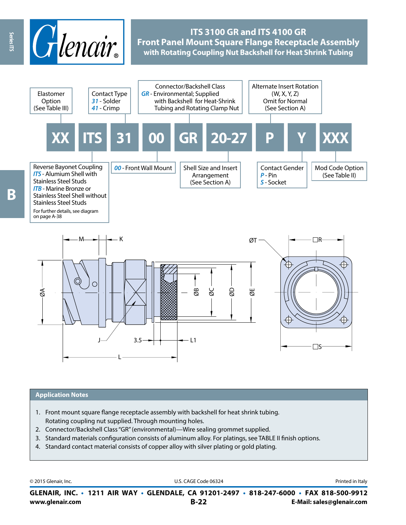

## **ITS 3100 GR and ITS 4100 GR Front Panel Mount Square Flange Receptacle Assembly with Rotating Coupling Nut Backshell for Heat Shrink Tubing**



#### **Application Notes**

- 1. Front mount square flange receptacle assembly with backshell for heat shrink tubing. Rotating coupling nut supplied. Through mounting holes.
- 2. Connector/Backshell Class "GR" (environmental)—Wire sealing grommet supplied.
- 3. Standard materials configuration consists of aluminum alloy. For platings, see TABLE II finish options.
- 4. Standard contact material consists of copper alloy with silver plating or gold plating.

© 2015 Glenair, Inc. **Discription Construction Construction Construction Construction Construction Construction Construction Construction Construction Construction Construction Construction Construction Construction Constr** 

**www.glenair.com B-22 E-Mail: sales@glenair.com GLENAIR, INC. • 1211 AIR WAY • GLENDALE, CA 91201-2497 • 818-247-6000 • FAX 818-500-9912**

Series ITS